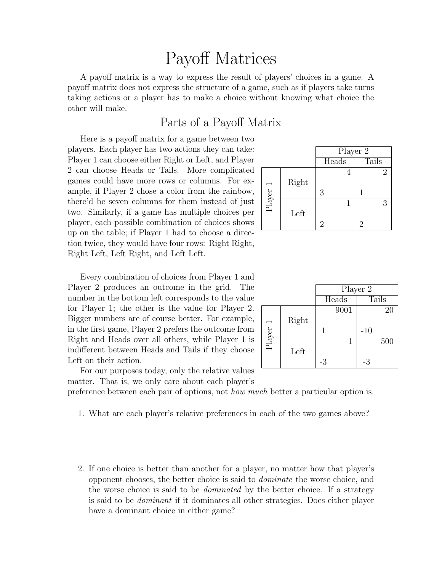### Payoff Matrices

A payoff matrix is a way to express the result of players' choices in a game. A payoff matrix does not express the structure of a game, such as if players take turns taking actions or a player has to make a choice without knowing what choice the other will make.

#### Parts of a Payoff Matrix

Here is a payoff matrix for a game between two players. Each player has two actions they can take: Player 1 can choose either Right or Left, and Player 2 can choose Heads or Tails. More complicated games could have more rows or columns. For example, if Player 2 chose a color from the rainbow, there'd be seven columns for them instead of just two. Similarly, if a game has multiple choices per player, each possible combination of choices shows up on the table; if Player 1 had to choose a direction twice, they would have four rows: Right Right, Right Left, Left Right, and Left Left.

Every combination of choices from Player 1 and Player 2 produces an outcome in the grid. The number in the bottom left corresponds to the value for Player 1; the other is the value for Player 2. Bigger numbers are of course better. For example, in the first game, Player 2 prefers the outcome from Right and Heads over all others, while Player 1 is indifferent between Heads and Tails if they choose Left on their action.

|            |       | Player 2 |       |  |
|------------|-------|----------|-------|--|
|            |       | Heads    | Tails |  |
|            |       |          |       |  |
|            | Right |          |       |  |
| Player $1$ |       | 3        |       |  |
|            |       |          |       |  |
|            | Left  |          |       |  |
|            |       | 2        | 2     |  |

|            |       | Player 2 |       |       |       |
|------------|-------|----------|-------|-------|-------|
|            |       |          | Heads |       | Tails |
|            |       |          | 9001  |       | 20    |
|            | Right |          |       |       |       |
| Player $1$ |       | 1        |       | $-10$ |       |
|            |       |          |       |       | 500   |
|            | Left  |          |       |       |       |
|            |       | -3       |       | -3    |       |

For our purposes today, only the relative values matter. That is, we only care about each player's

preference between each pair of options, not *how much* better a particular option is.

- 1. What are each player's relative preferences in each of the two games above?
- 2. If one choice is better than another for a player, no matter how that player's opponent chooses, the better choice is said to dominate the worse choice, and the worse choice is said to be dominated by the better choice. If a strategy is said to be dominant if it dominates all other strategies. Does either player have a dominant choice in either game?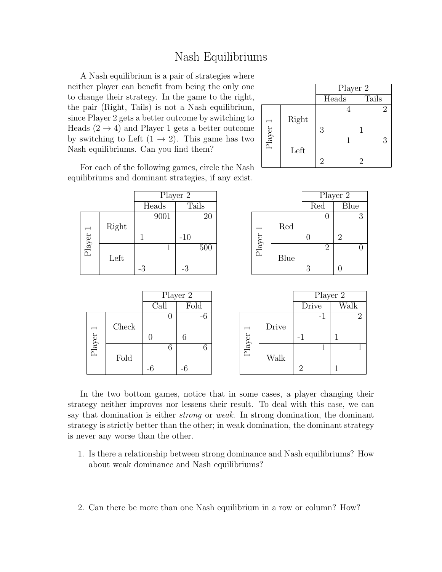#### Nash Equilibriums

A Nash equilibrium is a pair of strategies where neither player can benefit from being the only one to change their strategy. In the game to the right, the pair (Right, Tails) is not a Nash equilibrium, since Player 2 gets a better outcome by switching to Heads  $(2 \rightarrow 4)$  and Player 1 gets a better outcome by switching to Left  $(1 \rightarrow 2)$ . This game has two Nash equilibriums. Can you find them?

|          |       | Player 2 |       |  |
|----------|-------|----------|-------|--|
|          |       | Heads    | Tails |  |
|          |       |          | 2     |  |
|          | Right |          |       |  |
| Player 1 |       | 3        |       |  |
|          |       |          | 3     |  |
|          | Left  |          |       |  |
|          |       | 2        |       |  |

For each of the following games, circle the Nash equilibriums and dominant strategies, if any exist.

|                          |       |       | Player 2 |                          |      |                | Player 2         |
|--------------------------|-------|-------|----------|--------------------------|------|----------------|------------------|
|                          |       | Heads | Tails    |                          |      | Red            | Blue             |
|                          |       | 9001  | $20\,$   |                          |      | U              | 3                |
| $\overline{\phantom{0}}$ | Right |       |          | $\overline{\phantom{0}}$ | Red  |                |                  |
| ${\rm Player}$           |       | 1     | $-10$    | ${\rm Player}$           |      | $\overline{0}$ | $\overline{2}$   |
|                          |       |       | 500      |                          |      | $\overline{2}$ |                  |
|                          | Left  |       |          |                          | Blue |                |                  |
|                          |       | $-3$  | $-3$     |                          |      | 3              | $\boldsymbol{0}$ |
|                          |       |       |          |                          |      |                |                  |
|                          |       |       |          |                          |      |                |                  |
|                          |       |       | Player 2 |                          |      | Player 2       |                  |

|                          |       |      | г науег z |                          |       | riayer z |          |
|--------------------------|-------|------|-----------|--------------------------|-------|----------|----------|
|                          |       | Call | Fold      |                          |       | Drive    | Walk     |
|                          |       | U    | $-6$      |                          |       | - 1      | $\Omega$ |
| $\overline{\phantom{0}}$ | Check |      |           | $\overline{\phantom{0}}$ | Drive |          |          |
| ${\rm Player}$           |       |      | 6         | ${\rm Player}$           |       | $\sim$   |          |
|                          |       | 6    | 6         |                          |       |          |          |
|                          | Fold  |      |           |                          | Walk  |          |          |
|                          |       | -6   | $-6$      |                          |       | ി        |          |

In the two bottom games, notice that in some cases, a player changing their strategy neither improves nor lessens their result. To deal with this case, we can say that domination is either *strong* or *weak*. In strong domination, the dominant strategy is strictly better than the other; in weak domination, the dominant strategy is never any worse than the other.

- 1. Is there a relationship between strong dominance and Nash equilibriums? How about weak dominance and Nash equilibriums?
- 2. Can there be more than one Nash equilibrium in a row or column? How?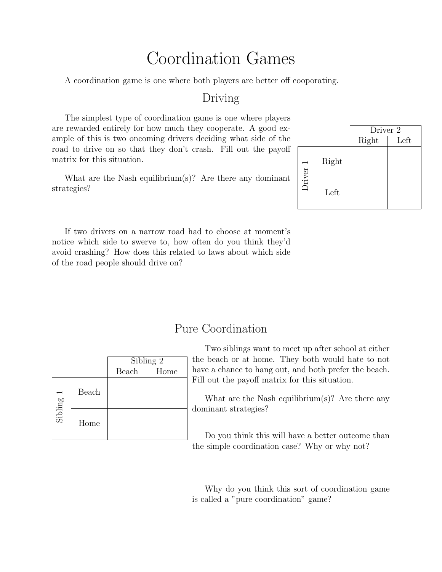### Coordination Games

A coordination game is one where both players are better off cooporating.

#### Driving

The simplest type of coordination game is one where players are rewarded entirely for how much they cooperate. A good example of this is two oncoming drivers deciding what side of the road to drive on so that they don't crash. Fill out the payoff matrix for this situation.

What are the Nash equilibrium(s)? Are there any dominant strategies?

|          |       | Driver 2 |      |  |
|----------|-------|----------|------|--|
|          |       | Right    | Left |  |
| Driver 1 | Right |          |      |  |
|          | Left  |          |      |  |

If two drivers on a narrow road had to choose at moment's notice which side to swerve to, how often do you think they'd avoid crashing? How does this related to laws about which side of the road people should drive on?

### Pure Coordination

|           |       | Sibling 2 |      |  |
|-----------|-------|-----------|------|--|
|           |       | Beach     | Home |  |
| Sibling 1 | Beach |           |      |  |
|           | Home  |           |      |  |

Two siblings want to meet up after school at either the beach or at home. They both would hate to not have a chance to hang out, and both prefer the beach. Fill out the payoff matrix for this situation.

What are the Nash equilibrium(s)? Are there any dominant strategies?

Do you think this will have a better outcome than the simple coordination case? Why or why not?

Why do you think this sort of coordination game is called a "pure coordination" game?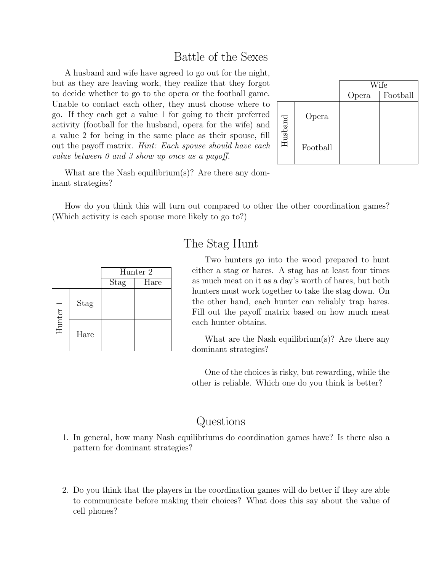### Battle of the Sexes

A husband and wife have agreed to go out for the night, but as they are leaving work, they realize that they forgot to decide whether to go to the opera or the football game. Unable to contact each other, they must choose where to go. If they each get a value 1 for going to their preferred activity (football for the husband, opera for the wife) and a value 2 for being in the same place as their spouse, fill out the payoff matrix. Hint: Each spouse should have each value between 0 and 3 show up once as a payoff.



What are the Nash equilibrium(s)? Are there any dominant strategies?

How do you think this will turn out compared to other the other coordination games? (Which activity is each spouse more likely to go to?)

|          |      | Hunter 2    |      |  |
|----------|------|-------------|------|--|
|          |      | <b>Stag</b> | Hare |  |
| Hunter 1 | Stag |             |      |  |
|          | Hare |             |      |  |

### The Stag Hunt

Two hunters go into the wood prepared to hunt either a stag or hares. A stag has at least four times as much meat on it as a day's worth of hares, but both hunters must work together to take the stag down. On the other hand, each hunter can reliably trap hares. Fill out the payoff matrix based on how much meat each hunter obtains.

What are the Nash equilibrium(s)? Are there any dominant strategies?

One of the choices is risky, but rewarding, while the other is reliable. Which one do you think is better?

### Questions

- 1. In general, how many Nash equilibriums do coordination games have? Is there also a pattern for dominant strategies?
- 2. Do you think that the players in the coordination games will do better if they are able to communicate before making their choices? What does this say about the value of cell phones?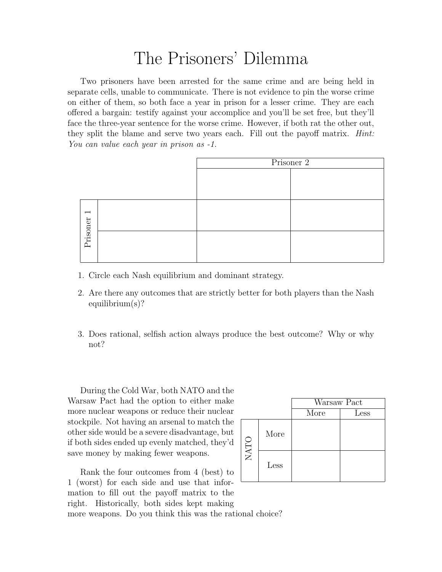### The Prisoners' Dilemma

Two prisoners have been arrested for the same crime and are being held in separate cells, unable to communicate. There is not evidence to pin the worse crime on either of them, so both face a year in prison for a lesser crime. They are each offered a bargain: testify against your accomplice and you'll be set free, but they'll face the three-year sentence for the worse crime. However, if both rat the other out, they split the blame and serve two years each. Fill out the payoff matrix. *Hint*: You can value each year in prison as  $-1$ .

|                          | Prisoner 2 |  |  |
|--------------------------|------------|--|--|
|                          |            |  |  |
|                          |            |  |  |
| $\overline{\phantom{0}}$ |            |  |  |
| Prisoner                 |            |  |  |

- 1. Circle each Nash equilibrium and dominant strategy.
- 2. Are there any outcomes that are strictly better for both players than the Nash equilibrium(s)?
- 3. Does rational, selfish action always produce the best outcome? Why or why not?

During the Cold War, both NATO and the Warsaw Pact had the option to either make more nuclear weapons or reduce their nuclear stockpile. Not having an arsenal to match the other side would be a severe disadvantage, but if both sides ended up evenly matched, they'd save money by making fewer weapons.

Rank the four outcomes from 4 (best) to 1 (worst) for each side and use that information to fill out the payoff matrix to the right. Historically, both sides kept making

|      |      | Warsaw Pact |               |  |
|------|------|-------------|---------------|--|
|      |      | More        | $_{\rm Less}$ |  |
| NATO | More |             |               |  |
|      | Less |             |               |  |

more weapons. Do you think this was the rational choice?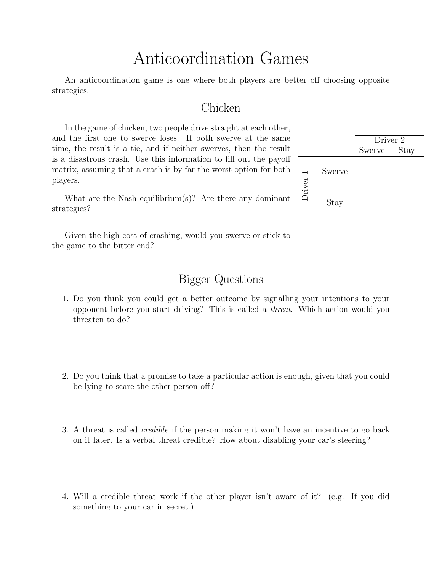## Anticoordination Games

An anticoordination game is one where both players are better off choosing opposite strategies.

#### Chicken

In the game of chicken, two people drive straight at each other, and the first one to swerve loses. If both swerve at the same time, the result is a tie, and if neither swerves, then the result is a disastrous crash. Use this information to fill out the payoff matrix, assuming that a crash is by far the worst option for both players.

What are the Nash equilibrium(s)? Are there any dominant strategies?

Driver<sub>2</sub> Swerve | Stay Driver 1 Swerve Stay

Given the high cost of crashing, would you swerve or stick to the game to the bitter end?

### Bigger Questions

- 1. Do you think you could get a better outcome by signalling your intentions to your opponent before you start driving? This is called a threat. Which action would you threaten to do?
- 2. Do you think that a promise to take a particular action is enough, given that you could be lying to scare the other person off?
- 3. A threat is called credible if the person making it won't have an incentive to go back on it later. Is a verbal threat credible? How about disabling your car's steering?
- 4. Will a credible threat work if the other player isn't aware of it? (e.g. If you did something to your car in secret.)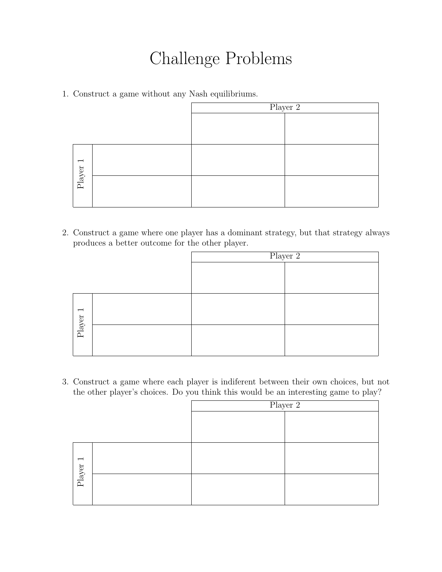# Challenge Problems

1. Construct a game without any Nash equilibriums.

|                          | Player 2 |  |  |
|--------------------------|----------|--|--|
|                          |          |  |  |
|                          |          |  |  |
|                          |          |  |  |
| $\overline{\phantom{0}}$ |          |  |  |
| ${\rm Player}$           |          |  |  |
|                          |          |  |  |

2. Construct a game where one player has a dominant strategy, but that strategy always produces a better outcome for the other player.

|                          |  | Player 2 |
|--------------------------|--|----------|
|                          |  |          |
|                          |  |          |
|                          |  |          |
|                          |  |          |
| $\overline{\phantom{a}}$ |  |          |
|                          |  |          |
| ${\rm Player}$           |  |          |
|                          |  |          |
|                          |  |          |

3. Construct a game where each player is indiferent between their own choices, but not the other player's choices. Do you think this would be an interesting game to play?

|                          | Player 2 |  |
|--------------------------|----------|--|
|                          |          |  |
|                          |          |  |
| $\overline{\phantom{a}}$ |          |  |
| ${\rm Player}$           |          |  |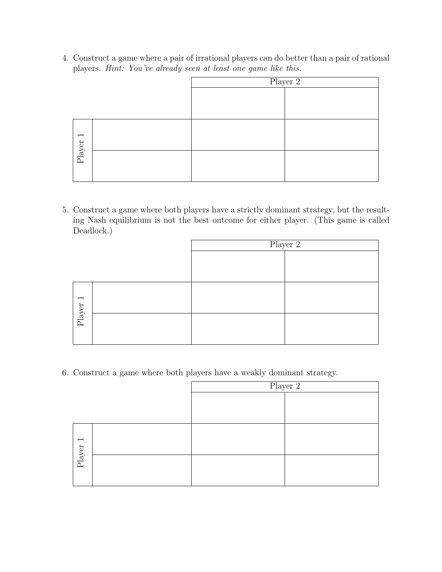4. Construct a game where a pair of irrational players can do better than a pair of rational players. Hint: You've already seen at least one game like this.

|                          | Player $2$ |  |
|--------------------------|------------|--|
|                          |            |  |
|                          |            |  |
|                          |            |  |
|                          |            |  |
| $\overline{\phantom{0}}$ |            |  |
|                          |            |  |
| Player                   |            |  |
|                          |            |  |
|                          |            |  |

5. Construct a game where both players have a strictly dominant strategy, but the resulting Nash equilibrium is not the best outcome for either player. (This game is called Deadlock.)

|            | Player 2 |  |
|------------|----------|--|
|            |          |  |
|            |          |  |
|            |          |  |
|            |          |  |
|            |          |  |
|            |          |  |
| Player $1$ |          |  |
|            |          |  |
|            |          |  |

6. Construct a game where both players have a weakly dominant strategy.

|            | Player 2 |  |
|------------|----------|--|
|            |          |  |
|            |          |  |
|            |          |  |
|            |          |  |
| Player $1$ |          |  |
|            |          |  |
|            |          |  |
|            |          |  |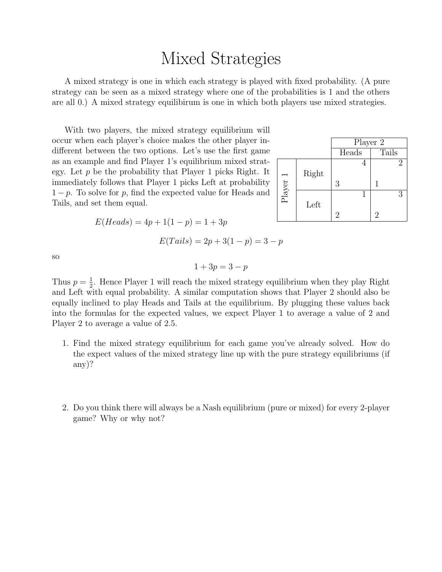### Mixed Strategies

A mixed strategy is one in which each strategy is played with fixed probability. (A pure strategy can be seen as a mixed strategy where one of the probabilities is 1 and the others are all 0.) A mixed strategy equilibirum is one in which both players use mixed strategies.

With two players, the mixed strategy equilibrium will occur when each player's choice makes the other player indifferent between the two options. Let's use the first game as an example and find Player 1's equilibrium mixed strategy. Let  $p$  be the probability that Player 1 picks Right. It immediately follows that Player 1 picks Left at probability  $1-p$ . To solve for p, find the expected value for Heads and Tails, and set them equal.

 $E(Heads) = 4p + 1(1 - p) = 1 + 3p$ 

Player 2 Heads Tails Player 1 Right 4 2 3 1 Left 1 3 2 2

so

$$
1 + 3p = 3 - p
$$

 $E(Tails) = 2p + 3(1-p) = 3-p$ 

Thus  $p=\frac{1}{2}$  $\frac{1}{2}$ . Hence Player 1 will reach the mixed strategy equilibrium when they play Right and Left with equal probability. A similar computation shows that Player 2 should also be equally inclined to play Heads and Tails at the equilibrium. By plugging these values back into the formulas for the expected values, we expect Player 1 to average a value of 2 and Player 2 to average a value of 2.5.

- 1. Find the mixed strategy equilibrium for each game you've already solved. How do the expect values of the mixed strategy line up with the pure strategy equilibriums (if any)?
- 2. Do you think there will always be a Nash equilibrium (pure or mixed) for every 2-player game? Why or why not?